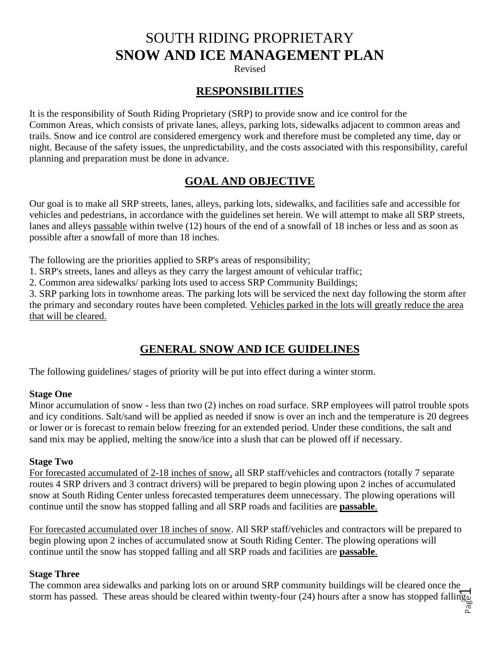# SOUTH RIDING PROPRIETARY **SNOW AND ICE MANAGEMENT PLAN**

Revised

## **RESPONSIBILITIES**

It is the responsibility of South Riding Proprietary (SRP) to provide snow and ice control for the Common Areas, which consists of private lanes, alleys, parking lots, sidewalks adjacent to common areas and trails. Snow and ice control are considered emergency work and therefore must be completed any time, day or night. Because of the safety issues, the unpredictability, and the costs associated with this responsibility, careful planning and preparation must be done in advance.

## **GOAL AND OBJECTIVE**

Our goal is to make all SRP streets, lanes, alleys, parking lots, sidewalks, and facilities safe and accessible for vehicles and pedestrians, in accordance with the guidelines set herein. We will attempt to make all SRP streets, lanes and alleys passable within twelve (12) hours of the end of a snowfall of 18 inches or less and as soon as possible after a snowfall of more than 18 inches.

The following are the priorities applied to SRP's areas of responsibility;

1. SRP's streets, lanes and alleys as they carry the largest amount of vehicular traffic;

2. Common area sidewalks/ parking lots used to access SRP Community Buildings;

3. SRP parking lots in townhome areas. The parking lots will be serviced the next day following the storm after the primary and secondary routes have been completed. Vehicles parked in the lots will greatly reduce the area that will be cleared.

# **GENERAL SNOW AND ICE GUIDELINES**

The following guidelines/ stages of priority will be put into effect during a winter storm.

#### **Stage One**

Minor accumulation of snow - less than two (2) inches on road surface. SRP employees will patrol trouble spots and icy conditions. Salt/sand will be applied as needed if snow is over an inch and the temperature is 20 degrees or lower or is forecast to remain below freezing for an extended period. Under these conditions, the salt and sand mix may be applied, melting the snow/ice into a slush that can be plowed off if necessary.

#### **Stage Two**

For forecasted accumulated of 2-18 inches of snow, all SRP staff/vehicles and contractors (totally 7 separate routes 4 SRP drivers and 3 contract drivers) will be prepared to begin plowing upon 2 inches of accumulated snow at South Riding Center unless forecasted temperatures deem unnecessary. The plowing operations will continue until the snow has stopped falling and all SRP roads and facilities are **passable**.

For forecasted accumulated over 18 inches of snow. All SRP staff/vehicles and contractors will be prepared to begin plowing upon 2 inches of accumulated snow at South Riding Center. The plowing operations will continue until the snow has stopped falling and all SRP roads and facilities are **passable**.

#### **Stage Three**

The common area sidewalks and parking lots on or around SRP community buildings will be cleared once the storm has passed. These areas should be cleared within twenty-four (24) hours after a snow has stopped falling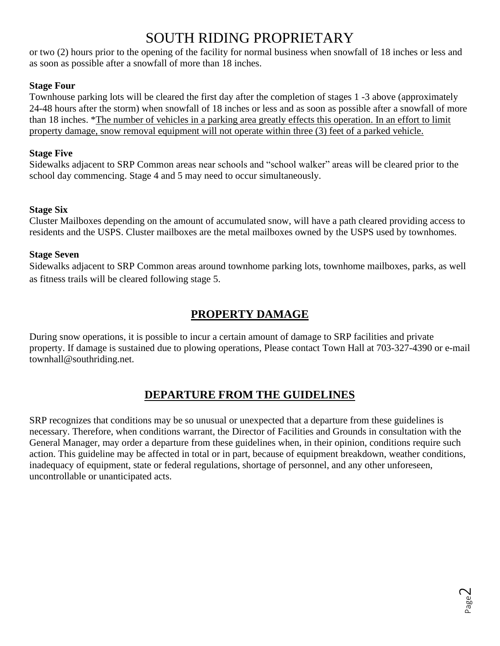# SOUTH RIDING PROPRIETARY

or two (2) hours prior to the opening of the facility for normal business when snowfall of 18 inches or less and as soon as possible after a snowfall of more than 18 inches.

### **Stage Four**

Townhouse parking lots will be cleared the first day after the completion of stages 1 -3 above (approximately 24-48 hours after the storm) when snowfall of 18 inches or less and as soon as possible after a snowfall of more than 18 inches. \*The number of vehicles in a parking area greatly effects this operation. In an effort to limit property damage, snow removal equipment will not operate within three (3) feet of a parked vehicle.

### **Stage Five**

Sidewalks adjacent to SRP Common areas near schools and "school walker" areas will be cleared prior to the school day commencing. Stage 4 and 5 may need to occur simultaneously.

### **Stage Six**

Cluster Mailboxes depending on the amount of accumulated snow, will have a path cleared providing access to residents and the USPS. Cluster mailboxes are the metal mailboxes owned by the USPS used by townhomes.

### **Stage Seven**

Sidewalks adjacent to SRP Common areas around townhome parking lots, townhome mailboxes, parks, as well as fitness trails will be cleared following stage 5.

## **PROPERTY DAMAGE**

During snow operations, it is possible to incur a certain amount of damage to SRP facilities and private property. If damage is sustained due to plowing operations, Please contact Town Hall at 703-327-4390 or e-mail townhall@southriding.net.

# **DEPARTURE FROM THE GUIDELINES**

SRP recognizes that conditions may be so unusual or unexpected that a departure from these guidelines is necessary. Therefore, when conditions warrant, the Director of Facilities and Grounds in consultation with the General Manager, may order a departure from these guidelines when, in their opinion, conditions require such action. This guideline may be affected in total or in part, because of equipment breakdown, weather conditions, inadequacy of equipment, state or federal regulations, shortage of personnel, and any other unforeseen, uncontrollable or unanticipated acts.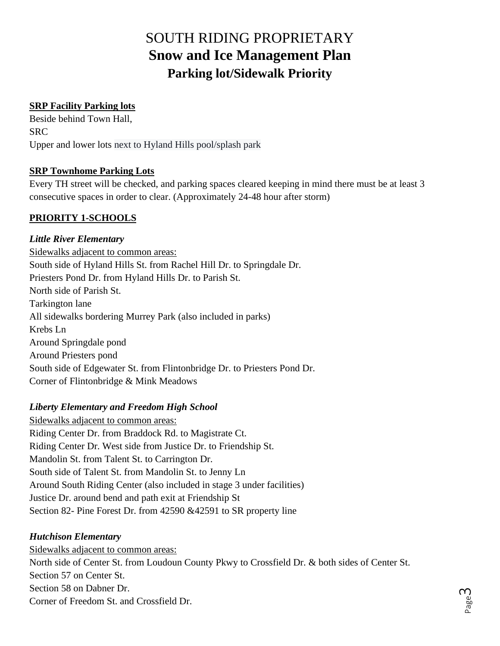# SOUTH RIDING PROPRIETARY **Snow and Ice Management Plan Parking lot/Sidewalk Priority**

### **SRP Facility Parking lots**

Beside behind Town Hall, SRC Upper and lower lots next to Hyland Hills pool/splash park

### **SRP Townhome Parking Lots**

Every TH street will be checked, and parking spaces cleared keeping in mind there must be at least 3 consecutive spaces in order to clear. (Approximately 24-48 hour after storm)

## **PRIORITY 1-SCHOOLS**

### *Little River Elementary*

Sidewalks adjacent to common areas: South side of Hyland Hills St. from Rachel Hill Dr. to Springdale Dr. Priesters Pond Dr. from Hyland Hills Dr. to Parish St. North side of Parish St. Tarkington lane All sidewalks bordering Murrey Park (also included in parks) Krebs Ln Around Springdale pond Around Priesters pond South side of Edgewater St. from Flintonbridge Dr. to Priesters Pond Dr. Corner of Flintonbridge & Mink Meadows

### *Liberty Elementary and Freedom High School*

Sidewalks adjacent to common areas: Riding Center Dr. from Braddock Rd. to Magistrate Ct. Riding Center Dr. West side from Justice Dr. to Friendship St. Mandolin St. from Talent St. to Carrington Dr. South side of Talent St. from Mandolin St. to Jenny Ln Around South Riding Center (also included in stage 3 under facilities) Justice Dr. around bend and path exit at Friendship St Section 82- Pine Forest Dr. from 42590 &42591 to SR property line

### *Hutchison Elementary*

Sidewalks adjacent to common areas: North side of Center St. from Loudoun County Pkwy to Crossfield Dr. & both sides of Center St. Section 57 on Center St. Section 58 on Dabner Dr. Corner of Freedom St. and Crossfield Dr.